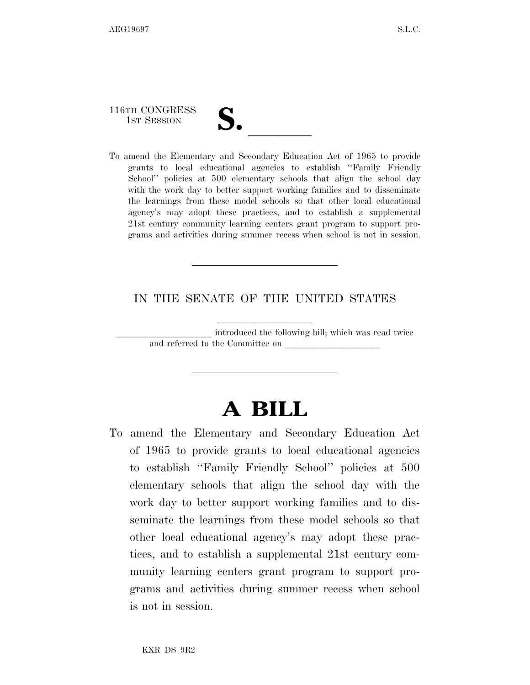116TH CONGRESS

116TH CONGRESS<br>
1ST SESSION<br>
To amend the Elementary and Secondary Education Act of 1965 to provide grants to local educational agencies to establish ''Family Friendly School'' policies at 500 elementary schools that align the school day with the work day to better support working families and to disseminate the learnings from these model schools so that other local educational agency's may adopt these practices, and to establish a supplemental 21st century community learning centers grant program to support programs and activities during summer recess when school is not in session.

## IN THE SENATE OF THE UNITED STATES

introduced the following bill; which was read twice and referred to the Committee on

## **A BILL**

To amend the Elementary and Secondary Education Act of 1965 to provide grants to local educational agencies to establish ''Family Friendly School'' policies at 500 elementary schools that align the school day with the work day to better support working families and to disseminate the learnings from these model schools so that other local educational agency's may adopt these practices, and to establish a supplemental 21st century community learning centers grant program to support programs and activities during summer recess when school is not in session.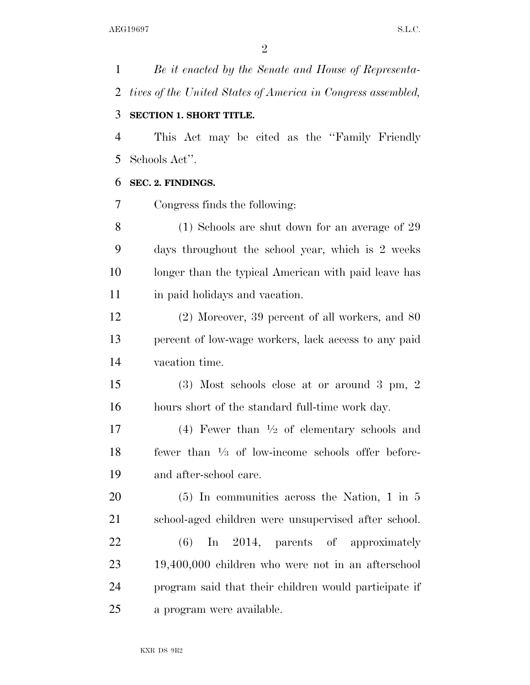*Be it enacted by the Senate and House of Representa- tives of the United States of America in Congress assembled,*  **SECTION 1. SHORT TITLE.**  This Act may be cited as the ''Family Friendly Schools Act''. **SEC. 2. FINDINGS.**  Congress finds the following: (1) Schools are shut down for an average of 29 days throughout the school year, which is 2 weeks longer than the typical American with paid leave has in paid holidays and vacation. (2) Moreover, 39 percent of all workers, and 80 percent of low-wage workers, lack access to any paid vacation time. (3) Most schools close at or around 3 pm, 2 hours short of the standard full-time work day. 17 (4) Fewer than  $\frac{1}{2}$  of elementary schools and 18 fewer than  $\frac{1}{3}$  of low-income schools offer before- and after-school care. (5) In communities across the Nation, 1 in 5 school-aged children were unsupervised after school. (6) In 2014, parents of approximately 19,400,000 children who were not in an afterschool program said that their children would participate if a program were available.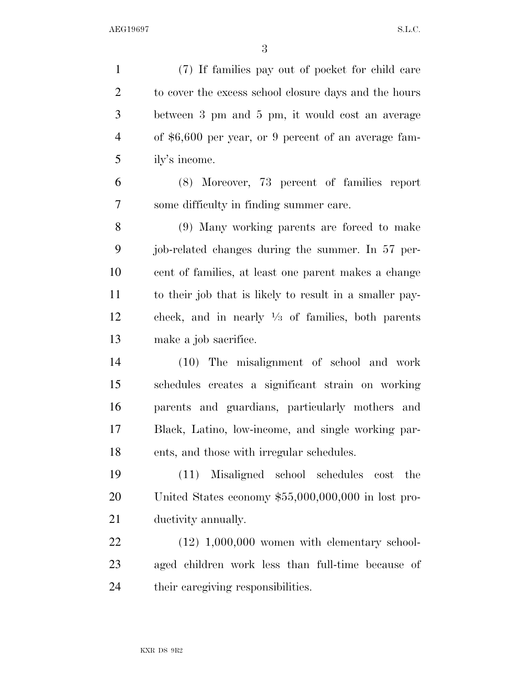| $\mathbf{1}$   | (7) If families pay out of pocket for child care             |
|----------------|--------------------------------------------------------------|
| $\overline{2}$ | to cover the excess school closure days and the hours        |
| 3              | between 3 pm and 5 pm, it would cost an average              |
| 4              | of \$6,600 per year, or 9 percent of an average fam-         |
| 5              | ily's income.                                                |
| 6              | (8) Moreover, 73 percent of families report                  |
| 7              | some difficulty in finding summer care.                      |
| 8              | (9) Many working parents are forced to make                  |
| 9              | job-related changes during the summer. In 57 per-            |
| 10             | cent of families, at least one parent makes a change         |
| 11             | to their job that is likely to result in a smaller pay-      |
| 12             | check, and in nearly $\frac{1}{3}$ of families, both parents |
| 13             | make a job sacrifice.                                        |
| 14             | (10) The misalignment of school and work                     |
| 15             | schedules creates a significant strain on working            |
| 16             | parents and guardians, particularly mothers and              |
| 17             | Black, Latino, low-income, and single working par-           |
| 18             | ents, and those with irregular schedules.                    |
| 19             | Misaligned school schedules<br>(11)<br>cost the              |
| 20             | United States economy $$55,000,000,000$ in lost pro-         |
| 21             | ductivity annually.                                          |
| 22             | $(12)$ 1,000,000 women with elementary school-               |
| 23             | aged children work less than full-time because of            |
| 24             | their caregiving responsibilities.                           |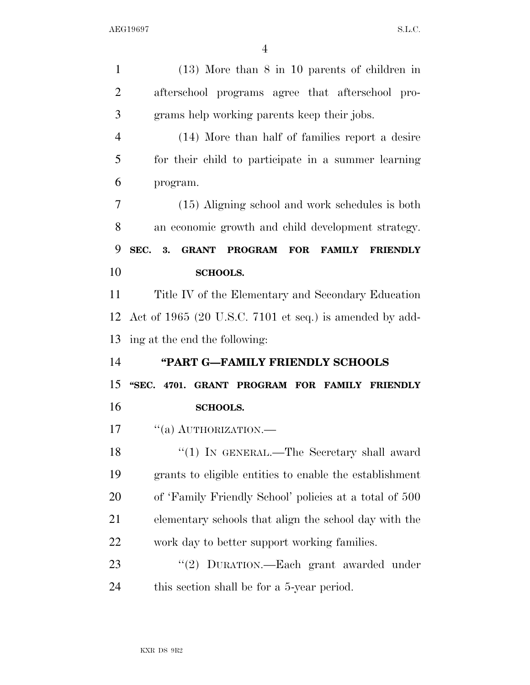| $\mathbf{1}$   | $(13)$ More than 8 in 10 parents of children in                         |
|----------------|-------------------------------------------------------------------------|
| $\overline{2}$ | afterschool programs agree that afterschool pro-                        |
| 3              | grams help working parents keep their jobs.                             |
| $\overline{4}$ | (14) More than half of families report a desire                         |
| 5              | for their child to participate in a summer learning                     |
| 6              | program.                                                                |
| 7              | (15) Aligning school and work schedules is both                         |
| 8              | an economic growth and child development strategy.                      |
| 9              | SEC. 3.<br><b>GRANT PROGRAM FOR</b><br><b>FAMILY</b><br><b>FRIENDLY</b> |
| 10             | <b>SCHOOLS.</b>                                                         |
| 11             | Title IV of the Elementary and Secondary Education                      |
| 12             | Act of 1965 (20 U.S.C. 7101 et seq.) is amended by add-                 |
| 13             | ing at the end the following:                                           |
| 14             | "PART G-FAMILY FRIENDLY SCHOOLS                                         |
|                |                                                                         |
| 15             | "SEC. 4701. GRANT PROGRAM FOR FAMILY FRIENDLY                           |
| 16             | <b>SCHOOLS.</b>                                                         |
| 17             | $``(a)$ AUTHORIZATION.—                                                 |
| 18             | "(1) IN GENERAL.—The Secretary shall award                              |
| 19             | grants to eligible entities to enable the establishment                 |
| 20             | of 'Family Friendly School' policies at a total of 500                  |
| 21             | elementary schools that align the school day with the                   |
| 22             | work day to better support working families.                            |
| 23             | "(2) DURATION.—Each grant awarded under                                 |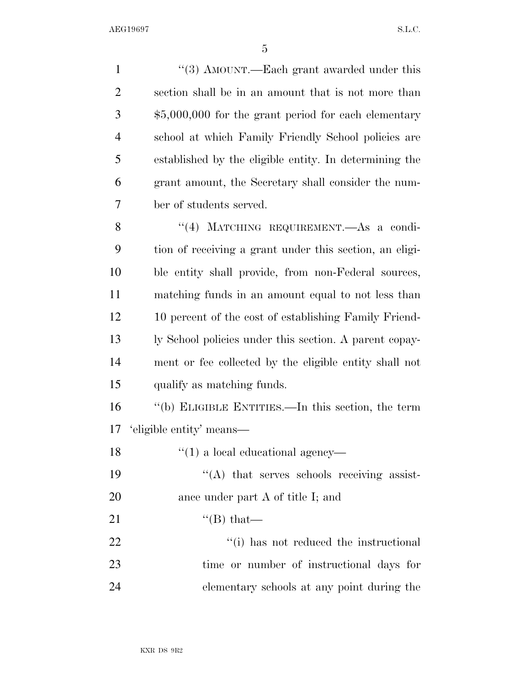1 ''(3) AMOUNT.—Each grant awarded under this section shall be in an amount that is not more than \$5,000,000 for the grant period for each elementary school at which Family Friendly School policies are established by the eligible entity. In determining the grant amount, the Secretary shall consider the num- ber of students served. 8 "(4) MATCHING REQUIREMENT. As a condi- tion of receiving a grant under this section, an eligi- ble entity shall provide, from non-Federal sources, matching funds in an amount equal to not less than 12 10 percent of the cost of establishing Family Friend- ly School policies under this section. A parent copay- ment or fee collected by the eligible entity shall not qualify as matching funds. ''(b) ELIGIBLE ENTITIES.—In this section, the term 'eligible entity' means—  $\frac{1}{2}$  (1) a local educational agency—  $((A)$  that serves schools receiving assist-20 ance under part A of title I; and  $\text{``(B) that}$  $\frac{1}{2}$   $\frac{1}{2}$   $\frac{1}{2}$  has not reduced the instructional time or number of instructional days for elementary schools at any point during the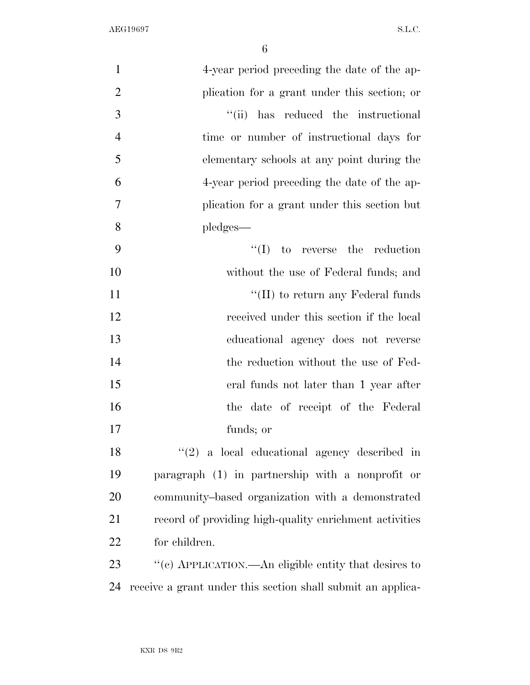| $\mathbf{1}$   | 4-year period preceding the date of the ap-                 |
|----------------|-------------------------------------------------------------|
| $\overline{2}$ | plication for a grant under this section; or                |
| 3              | "(ii) has reduced the instructional                         |
| $\overline{4}$ | time or number of instructional days for                    |
| 5              | elementary schools at any point during the                  |
| 6              | 4-year period preceding the date of the ap-                 |
| 7              | plication for a grant under this section but                |
| 8              | pledges—                                                    |
| 9              | $\lq\lq$ to reverse the reduction                           |
| 10             | without the use of Federal funds; and                       |
| 11             | "(II) to return any Federal funds                           |
| 12             | received under this section if the local                    |
| 13             | educational agency does not reverse                         |
| 14             | the reduction without the use of Fed-                       |
| 15             | eral funds not later than 1 year after                      |
| 16             | the date of receipt of the Federal                          |
| 17             | funds; or                                                   |
| 18             | $f'(2)$ a local educational agency described in             |
| 19             | paragraph (1) in partnership with a nonprofit or            |
| 20             | community-based organization with a demonstrated            |
| 21             | record of providing high-quality enrichment activities      |
| 22             | for children.                                               |
| 23             | "(c) APPLICATION.—An eligible entity that desires to        |
| 24             | receive a grant under this section shall submit an applica- |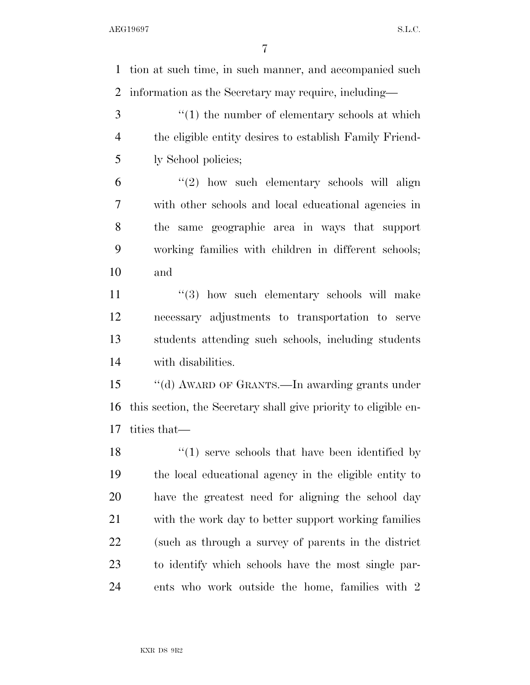tion at such time, in such manner, and accompanied such information as the Secretary may require, including—

3 ''(1) the number of elementary schools at which the eligible entity desires to establish Family Friend-ly School policies;

 "(2) how such elementary schools will align with other schools and local educational agencies in the same geographic area in ways that support working families with children in different schools; and

11 ''(3) how such elementary schools will make necessary adjustments to transportation to serve students attending such schools, including students with disabilities.

 ''(d) AWARD OF GRANTS.—In awarding grants under this section, the Secretary shall give priority to eligible en-tities that—

18 ''(1) serve schools that have been identified by the local educational agency in the eligible entity to have the greatest need for aligning the school day with the work day to better support working families (such as through a survey of parents in the district to identify which schools have the most single par-ents who work outside the home, families with 2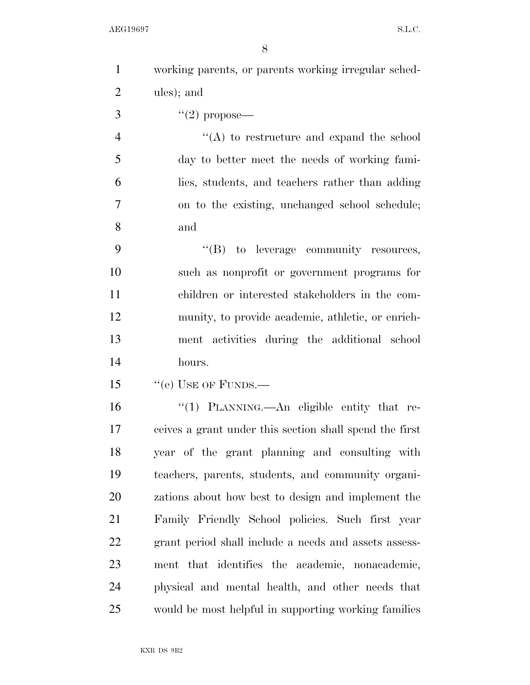| $\mathbf{1}$   | working parents, or parents working irregular sched-    |
|----------------|---------------------------------------------------------|
| $\overline{2}$ | ules); and                                              |
| 3              | $(2)$ propose—                                          |
| $\overline{4}$ | "(A) to restructure and expand the school               |
| 5              | day to better meet the needs of working fami-           |
| 6              | lies, students, and teachers rather than adding         |
| 7              | on to the existing, unchanged school schedule;          |
| 8              | and                                                     |
| 9              | "(B) to leverage community resources,                   |
| 10             | such as nonprofit or government programs for            |
| 11             | children or interested stakeholders in the com-         |
| 12             | munity, to provide academic, athletic, or enrich-       |
| 13             | ment activities during the additional school            |
| 14             | hours.                                                  |
| 15             | "(e) USE OF FUNDS.—                                     |
| 16             | "(1) PLANNING.—An eligible entity that re-              |
| 17             | ceives a grant under this section shall spend the first |
| 18             | year of the grant planning and consulting with          |
| 19             | teachers, parents, students, and community organi-      |
| 20             | zations about how best to design and implement the      |
| 21             | Family Friendly School policies. Such first year        |
| 22             | grant period shall include a needs and assets assess-   |
| 23             | ment that identifies the academic, nonacademic,         |
| 24             | physical and mental health, and other needs that        |
| 25             | would be most helpful in supporting working families    |
|                |                                                         |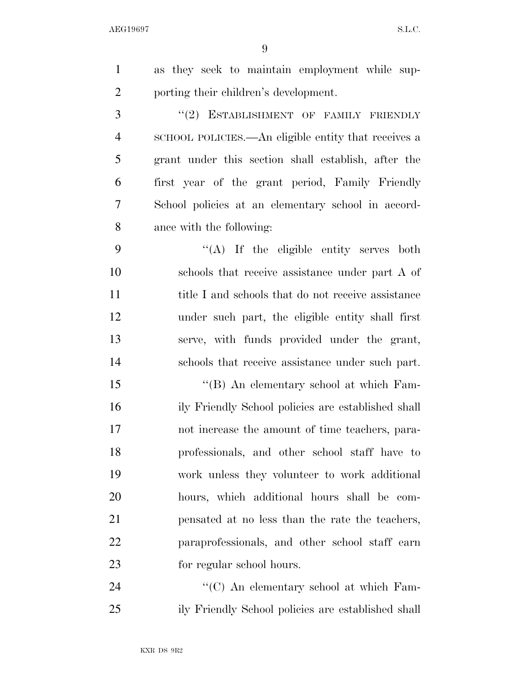| 1              | as they seek to maintain employment while sup-      |
|----------------|-----------------------------------------------------|
| $\overline{2}$ | porting their children's development.               |
| 3              | "(2) ESTABLISHMENT OF FAMILY FRIENDLY               |
| $\overline{4}$ | SCHOOL POLICIES.—An eligible entity that receives a |
| 5              | grant under this section shall establish, after the |
| 6              | first year of the grant period, Family Friendly     |
| 7              | School policies at an elementary school in accord-  |
| 8              | ance with the following:                            |
| 9              | $\lq\lq$ . If the eligible entity serves both       |
| 10             | schools that receive assistance under part A of     |
| 11             | title I and schools that do not receive assistance  |
| 12             | under such part, the eligible entity shall first    |
| 13             | serve, with funds provided under the grant,         |
| 14             | schools that receive assistance under such part.    |
| 15             | "(B) An elementary school at which Fam-             |
| 16             | ily Friendly School policies are established shall  |
| 17             | not increase the amount of time teachers, para-     |
| 18             | professionals, and other school staff have to       |
| 19             | work unless they volunteer to work additional       |
| 20             | hours, which additional hours shall be com-         |
| 21             | pensated at no less than the rate the teachers,     |
| 22             | paraprofessionals, and other school staff earn      |
| 23             | for regular school hours.                           |
| 24             | "(C) An elementary school at which Fam-             |
| 25             | ily Friendly School policies are established shall  |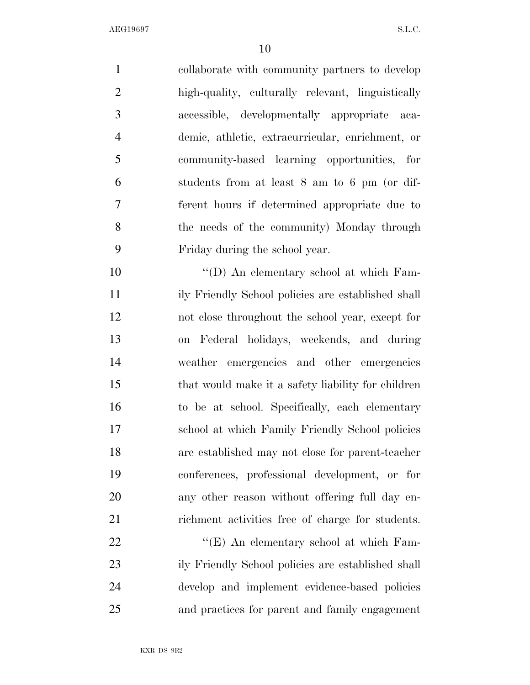$\Delta$ EG19697 S.L.C.

 collaborate with community partners to develop high-quality, culturally relevant, linguistically accessible, developmentally appropriate aca- demic, athletic, extracurricular, enrichment, or community-based learning opportunities, for students from at least 8 am to 6 pm (or dif- ferent hours if determined appropriate due to the needs of the community) Monday through Friday during the school year.  $\langle (D) \rangle$  An elementary school at which Fam- ily Friendly School policies are established shall not close throughout the school year, except for on Federal holidays, weekends, and during weather emergencies and other emergencies that would make it a safety liability for children to be at school. Specifically, each elementary school at which Family Friendly School policies are established may not close for parent-teacher conferences, professional development, or for any other reason without offering full day en- richment activities free of charge for students. 22 "'(E) An elementary school at which Fam-ily Friendly School policies are established shall

 develop and implement evidence-based policies and practices for parent and family engagement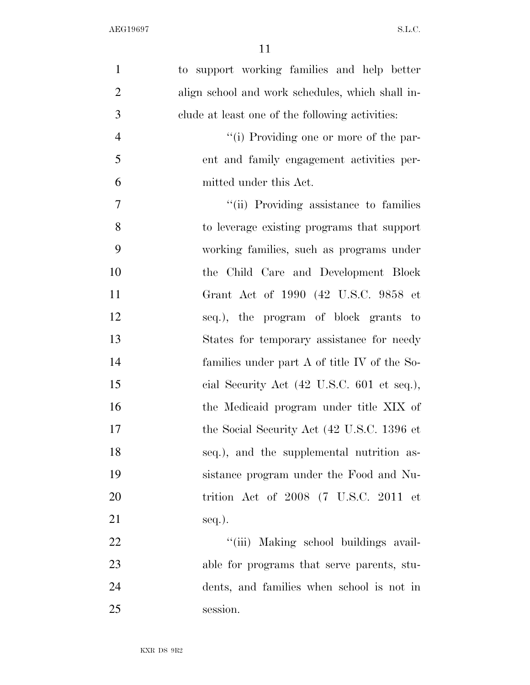| $\mathbf{1}$   | to support working families and help better      |
|----------------|--------------------------------------------------|
| $\overline{2}$ | align school and work schedules, which shall in- |
| 3              | clude at least one of the following activities:  |
| $\overline{4}$ | "(i) Providing one or more of the par-           |
| 5              | ent and family engagement activities per-        |
| 6              | mitted under this Act.                           |
| 7              | "(ii) Providing assistance to families           |
| 8              | to leverage existing programs that support       |
| 9              | working families, such as programs under         |
| 10             | the Child Care and Development Block             |
| 11             | Grant Act of 1990 (42 U.S.C. 9858 et             |
| 12             | seq.), the program of block grants to            |
| 13             | States for temporary assistance for needy        |
| 14             | families under part A of title IV of the So-     |
| 15             | cial Security Act (42 U.S.C. 601 et seq.),       |
| 16             | the Medicaid program under title XIX of          |
| 17             | the Social Security Act (42 U.S.C. 1396 et       |
| 18             | seq.), and the supplemental nutrition as-        |
| 19             | sistance program under the Food and Nu-          |
| 20             | trition Act of $2008$ (7 U.S.C. 2011 et          |
| 21             | $seq.$ ).                                        |
| 22             | "(iii) Making school buildings avail-            |
| 23             | able for programs that serve parents, stu-       |
| 24             | dents, and families when school is not in        |
| 25             | session.                                         |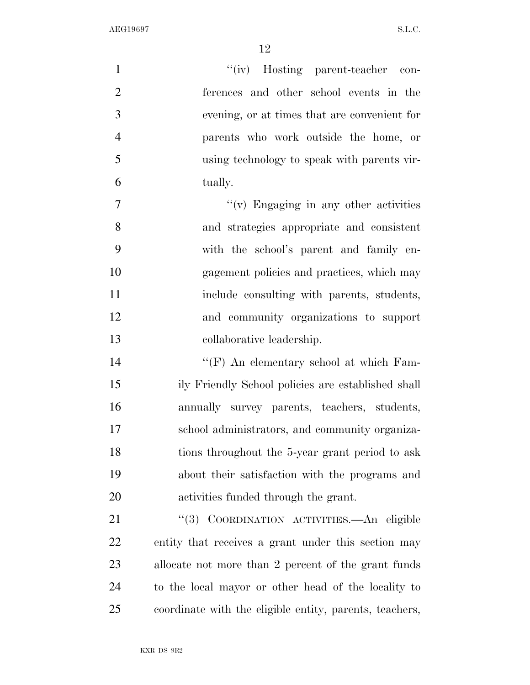| $\mathbf{1}$   | "(iv) Hosting parent-teacher con-                       |
|----------------|---------------------------------------------------------|
| $\overline{2}$ | ferences and other school events in the                 |
| 3              | evening, or at times that are convenient for            |
| $\overline{4}$ | parents who work outside the home, or                   |
| 5              | using technology to speak with parents vir-             |
| 6              | tually.                                                 |
| $\overline{7}$ | $``(v)$ Engaging in any other activities                |
| 8              | and strategies appropriate and consistent               |
| 9              | with the school's parent and family en-                 |
| 10             | gagement policies and practices, which may              |
| 11             | include consulting with parents, students,              |
| 12             | and community organizations to support                  |
| 13             | collaborative leadership.                               |
| 14             | "(F) An elementary school at which Fam-                 |
| 15             | ily Friendly School policies are established shall      |
| 16             | annually survey parents, teachers, students,            |
| 17             | school administrators, and community organiza-          |
| 18             | tions throughout the 5-year grant period to ask         |
| 19             | about their satisfaction with the programs and          |
| 20             | activities funded through the grant.                    |
| 21             | "(3) COORDINATION ACTIVITIES.—An eligible               |
| <u>22</u>      | entity that receives a grant under this section may     |
| 23             | allocate not more than 2 percent of the grant funds     |
| 24             | to the local mayor or other head of the locality to     |
| 25             | coordinate with the eligible entity, parents, teachers, |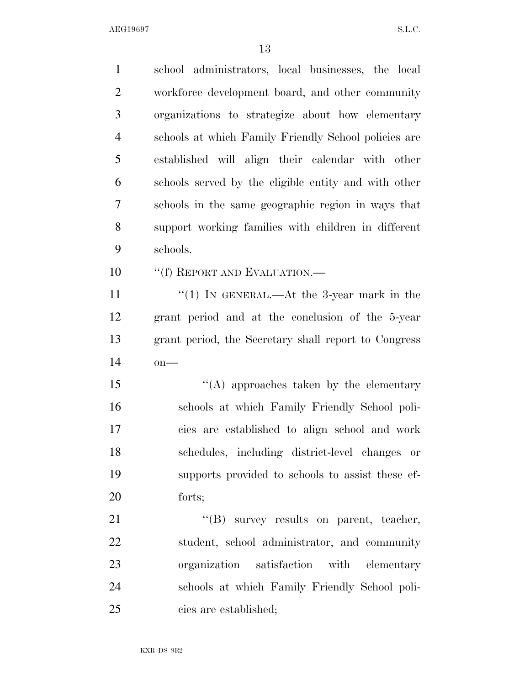| $\mathbf{1}$   | school administrators, local businesses, the local   |
|----------------|------------------------------------------------------|
| $\overline{2}$ | workforce development board, and other community     |
| 3              | organizations to strategize about how elementary     |
| $\overline{4}$ | schools at which Family Friendly School policies are |
| 5              | established will align their calendar with other     |
| 6              | schools served by the eligible entity and with other |
| 7              | schools in the same geographic region in ways that   |
| 8              | support working families with children in different  |
| 9              | schools.                                             |
| 10             | "(f) REPORT AND EVALUATION.—                         |
| 11             | "(1) IN GENERAL.—At the 3-year mark in the           |
| 12             | grant period and at the conclusion of the 5-year     |
| 13             | grant period, the Secretary shall report to Congress |
| 14             | $on$ —                                               |
| 15             | $\lq\lq$ approaches taken by the elementary          |
| 16             | schools at which Family Friendly School poli-        |
| 17             | cies are established to align school and work        |
| 18             | schedules, including district-level changes or       |
| 19             | supports provided to schools to assist these ef-     |
| 20             | forts;                                               |
| 21             | "(B) survey results on parent, teacher,              |
| 22             | student, school administrator, and community         |
| 23             | organization satisfaction with elementary            |
| 24             | schools at which Family Friendly School poli-        |
| 25             | cies are established;                                |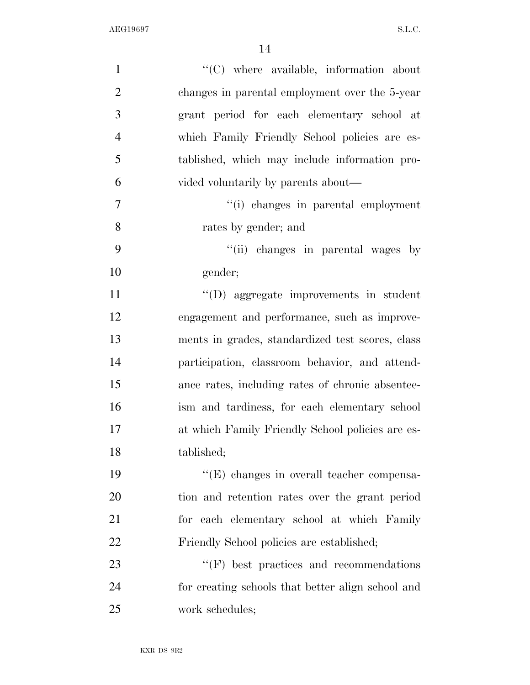| $\mathbf{1}$   | $\lq\lq$ where available, information about       |
|----------------|---------------------------------------------------|
| $\overline{2}$ | changes in parental employment over the 5-year    |
| 3              | grant period for each elementary school at        |
| $\overline{4}$ | which Family Friendly School policies are es-     |
| 5              | tablished, which may include information pro-     |
| 6              | vided voluntarily by parents about—               |
| $\tau$         | "(i) changes in parental employment               |
| 8              | rates by gender; and                              |
| 9              | "(ii) changes in parental wages by                |
| 10             | gender;                                           |
| 11             | $\lq\lq$ (D) aggregate improvements in student    |
| 12             | engagement and performance, such as improve-      |
| 13             | ments in grades, standardized test scores, class  |
| 14             | participation, classroom behavior, and attend-    |
| 15             | ance rates, including rates of chronic absentee-  |
| 16             | ism and tardiness, for each elementary school     |
| 17             | at which Family Friendly School policies are es-  |
| 18             | tablished;                                        |
| 19             | $\lq\lq$ changes in overall teacher compensa-     |
| 20             | tion and retention rates over the grant period    |
| 21             | for each elementary school at which Family        |
| 22             | Friendly School policies are established;         |
| 23             | $\lq\lq(F)$ best practices and recommendations    |
| 24             | for creating schools that better align school and |
| 25             | work schedules;                                   |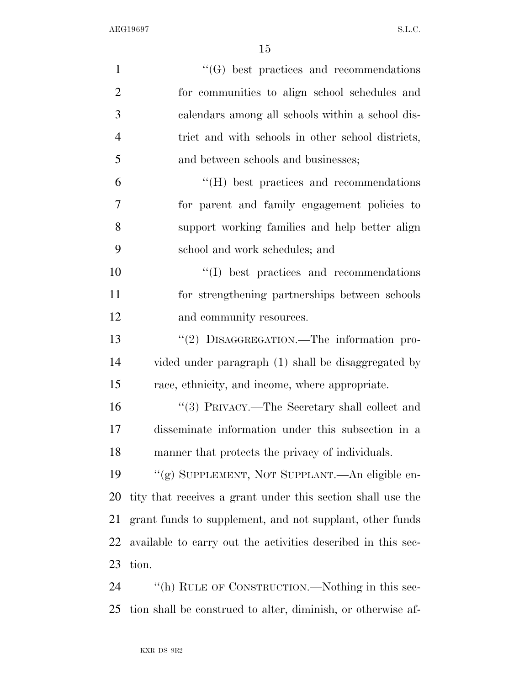| $\mathbf{1}$   | $\lq\lq(G)$ best practices and recommendations               |
|----------------|--------------------------------------------------------------|
| $\overline{2}$ | for communities to align school schedules and                |
| 3              | calendars among all schools within a school dis-             |
| $\overline{4}$ | trict and with schools in other school districts,            |
| 5              | and between schools and businesses;                          |
| 6              | $\lq\lq$ (H) best practices and recommendations              |
| 7              | for parent and family engagement policies to                 |
| 8              | support working families and help better align               |
| 9              | school and work schedules; and                               |
| 10             | "(I) best practices and recommendations                      |
| 11             | for strengthening partnerships between schools               |
| 12             | and community resources.                                     |
| 13             | "(2) DISAGGREGATION.—The information pro-                    |
| 14             | vided under paragraph (1) shall be disaggregated by          |
| 15             | race, ethnicity, and income, where appropriate.              |
| 16             | "(3) PRIVACY.—The Secretary shall collect and                |
| 17             | disseminate information under this subsection in a           |
| 18             | manner that protects the privacy of individuals.             |
| 19             | "(g) SUPPLEMENT, NOT SUPPLANT.—An eligible en-               |
| 20             | tity that receives a grant under this section shall use the  |
| 21             | grant funds to supplement, and not supplant, other funds     |
| 22             | available to carry out the activities described in this sec- |
| 23             | tion.                                                        |
| 24             | "(h) RULE OF CONSTRUCTION.—Nothing in this sec-              |
|                |                                                              |

tion shall be construed to alter, diminish, or otherwise af-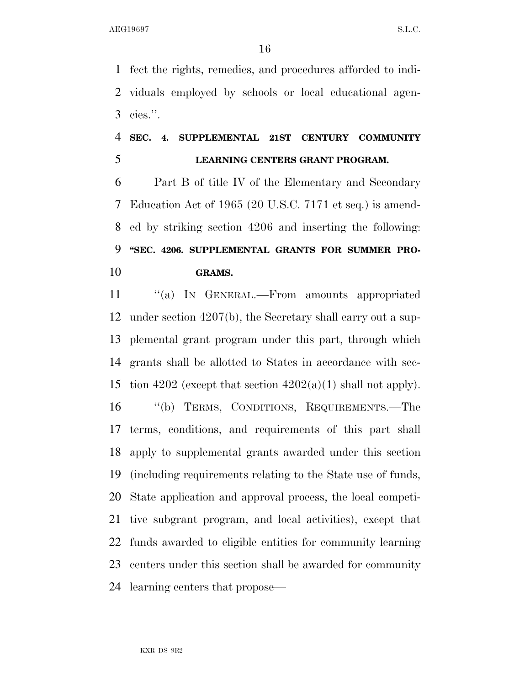fect the rights, remedies, and procedures afforded to indi- viduals employed by schools or local educational agen-cies.''.

## **SEC. 4. SUPPLEMENTAL 21ST CENTURY COMMUNITY LEARNING CENTERS GRANT PROGRAM.**

 Part B of title IV of the Elementary and Secondary Education Act of 1965 (20 U.S.C. 7171 et seq.) is amend- ed by striking section 4206 and inserting the following: **''SEC. 4206. SUPPLEMENTAL GRANTS FOR SUMMER PRO-GRAMS.** 

11 "(a) IN GENERAL.—From amounts appropriated under section 4207(b), the Secretary shall carry out a sup- plemental grant program under this part, through which grants shall be allotted to States in accordance with sec-15 tion 4202 (except that section  $4202(a)(1)$  shall not apply). ''(b) TERMS, CONDITIONS, REQUIREMENTS.—The terms, conditions, and requirements of this part shall apply to supplemental grants awarded under this section (including requirements relating to the State use of funds, State application and approval process, the local competi- tive subgrant program, and local activities), except that funds awarded to eligible entities for community learning centers under this section shall be awarded for community learning centers that propose—